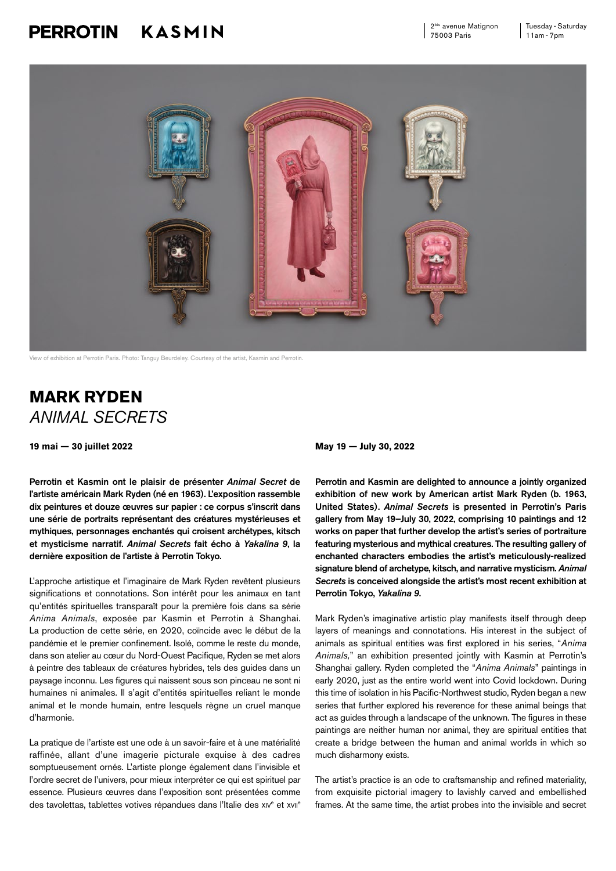## KASMIN **PERROTIN**



View of exhibition at Perrotin Paris. Photo: Tanguy Beurdeley. Courtesy of the artist, Kasmin and Perrotin.

## **MARK RYDEN**  *ANIMAL SECRETS*

**19 mai — 30 juillet 2022 May 19 — July 30, 2022**

Perrotin et Kasmin ont le plaisir de présenter *Animal Secret* de l'artiste américain Mark Ryden (né en 1963). L'exposition rassemble dix peintures et douze œuvres sur papier : ce corpus s'inscrit dans une série de portraits représentant des créatures mystérieuses et mythiques, personnages enchantés qui croisent archétypes, kitsch et mysticisme narratif. *Animal Secrets* fait écho à *Yakalina 9*, la dernière exposition de l'artiste à Perrotin Tokyo.

L'approche artistique et l'imaginaire de Mark Ryden revêtent plusieurs significations et connotations. Son intérêt pour les animaux en tant qu'entités spirituelles transparaît pour la première fois dans sa série *Anima Animals*, exposée par Kasmin et Perrotin à Shanghai. La production de cette série, en 2020, coïncide avec le début de la pandémie et le premier confinement. Isolé, comme le reste du monde, dans son atelier au cœur du Nord-Ouest Pacifique, Ryden se met alors à peintre des tableaux de créatures hybrides, tels des guides dans un paysage inconnu. Les figures qui naissent sous son pinceau ne sont ni humaines ni animales. Il s'agit d'entités spirituelles reliant le monde animal et le monde humain, entre lesquels règne un cruel manque d'harmonie.

La pratique de l'artiste est une ode à un savoir-faire et à une matérialité raffinée, allant d'une imagerie picturale exquise à des cadres somptueusement ornés. L'artiste plonge également dans l'invisible et l'ordre secret de l'univers, pour mieux interpréter ce qui est spirituel par essence. Plusieurs œuvres dans l'exposition sont présentées comme des tavolettas, tablettes votives répandues dans l'Italie des xiv<sup>e</sup> et xvil<sup>e</sup>

Perrotin and Kasmin are delighted to announce a jointly organized exhibition of new work by American artist Mark Ryden (b. 1963, United States). *Animal Secrets* is presented in Perrotin's Paris gallery from May 19–July 30, 2022, comprising 10 paintings and 12 works on paper that further develop the artist's series of portraiture featuring mysterious and mythical creatures. The resulting gallery of enchanted characters embodies the artist's meticulously-realized signature blend of archetype, kitsch, and narrative mysticism. *Animal Secrets* is conceived alongside the artist's most recent exhibition at Perrotin Tokyo, *Yakalina 9*.

Mark Ryden's imaginative artistic play manifests itself through deep layers of meanings and connotations. His interest in the subject of animals as spiritual entities was first explored in his series, "*Anima Animals,*" an exhibition presented jointly with Kasmin at Perrotin's Shanghai gallery. Ryden completed the "*Anima Animals*" paintings in early 2020, just as the entire world went into Covid lockdown. During this time of isolation in his Pacific-Northwest studio, Ryden began a new series that further explored his reverence for these animal beings that act as guides through a landscape of the unknown. The figures in these paintings are neither human nor animal, they are spiritual entities that create a bridge between the human and animal worlds in which so much disharmony exists.

The artist's practice is an ode to craftsmanship and refined materiality, from exquisite pictorial imagery to lavishly carved and embellished frames. At the same time, the artist probes into the invisible and secret